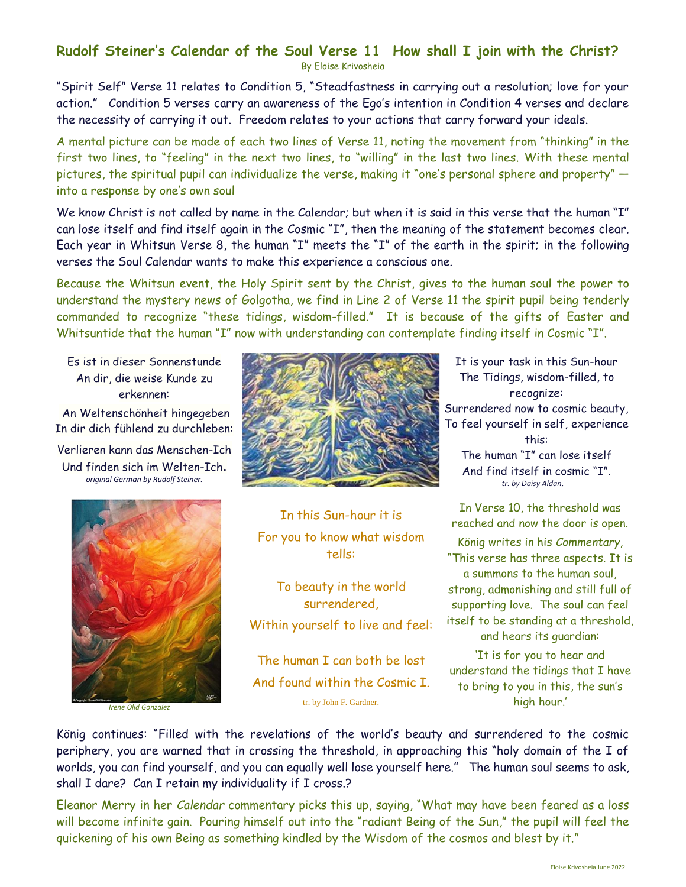## **Rudolf Steiner's Calendar of the Soul Verse 11 How shall I join with the Christ?**

By Eloise Krivosheia

"Spirit Self" Verse 11 relates to Condition 5, "Steadfastness in carrying out a resolution; love for your action."Condition 5 verses carry an awareness of the Ego's intention in Condition 4 verses and declare the necessity of carrying it out. Freedom relates to your actions that carry forward your ideals.

A mental picture can be made of each two lines of Verse 11, noting the movement from "thinking" in the first two lines, to "feeling" in the next two lines, to "willing" in the last two lines. With these mental pictures, the spiritual pupil can individualize the verse, making it "one's personal sphere and property" into a response by one's own soul

We know Christ is not called by name in the Calendar; but when it is said in this verse that the human "I" can lose itself and find itself again in the Cosmic "I", then the meaning of the statement becomes clear. Each year in Whitsun Verse 8, the human "I" meets the "I" of the earth in the spirit; in the following verses the Soul Calendar wants to make this experience a conscious one.

Because the Whitsun event, the Holy Spirit sent by the Christ, gives to the human soul the power to understand the mystery news of Golgotha, we find in Line 2 of Verse 11 the spirit pupil being tenderly commanded to recognize "these tidings, wisdom-filled." It is because of the gifts of Easter and Whitsuntide that the human "I" now with understanding can contemplate finding itself in Cosmic "I".

Es ist in dieser Sonnenstunde An dir, die weise Kunde zu erkennen:

An Weltenschönheit hingegeben In dir dich fühlend zu durchleben:

Verlieren kann das Menschen-Ich Und finden sich im Welten-Ich. *original German by Rudolf Steiner.*



*Irene Olid Gonzalez*



In this Sun-hour it is For you to know what wisdom tells:

To beauty in the world surrendered, Within yourself to live and feel:

The human I can both be lost And found within the Cosmic I. tr. by John F. Gardner.

It is your task in this Sun-hour The Tidings, wisdom-filled, to recognize: Surrendered now to cosmic beauty, To feel yourself in self, experience this: The human "I" can lose itself And find itself in cosmic "I".  *tr. by Daisy Aldan*.

In Verse 10, the threshold was reached and now the door is open. König writes in his *Commentary*, "This verse has three aspects. It is a summons to the human soul, strong, admonishing and still full of supporting love. The soul can feel itself to be standing at a threshold, and hears its guardian:

'It is for you to hear and understand the tidings that I have to bring to you in this, the sun's high hour.'

König continues: "Filled with the revelations of the world's beauty and surrendered to the cosmic periphery, you are warned that in crossing the threshold, in approaching this "holy domain of the I of worlds, you can find yourself, and you can equally well lose yourself here." The human soul seems to ask, shall I dare? Can I retain my individuality if I cross.?

Eleanor Merry in her *Calendar* commentary picks this up, saying, "What may have been feared as a loss will become infinite gain. Pouring himself out into the "radiant Being of the Sun," the pupil will feel the quickening of his own Being as something kindled by the Wisdom of the cosmos and blest by it."